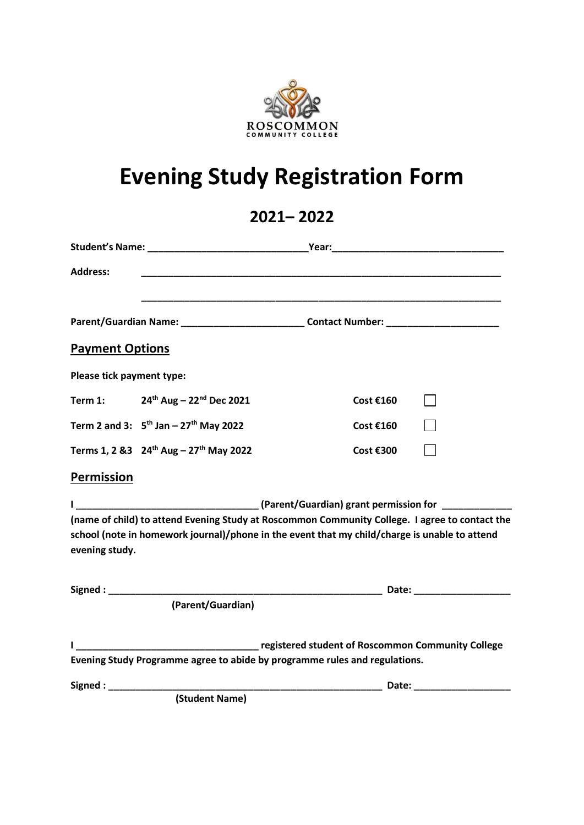

## **Evening Study Registration Form**

## **2021– 2022**

| <b>Address:</b>           |                                                                 | <u> 1999 - Johann John Harry Harry Harry Harry Harry Harry Harry Harry Harry Harry Harry Harry Harry Harry Harry H</u>                                                                          |  |
|---------------------------|-----------------------------------------------------------------|-------------------------------------------------------------------------------------------------------------------------------------------------------------------------------------------------|--|
|                           |                                                                 | Parent/Guardian Name: _______________________________Contact Number: ______________________________                                                                                             |  |
| <b>Payment Options</b>    |                                                                 |                                                                                                                                                                                                 |  |
| Please tick payment type: |                                                                 |                                                                                                                                                                                                 |  |
|                           | Term 1: $24^{th}$ Aug – 22 <sup>nd</sup> Dec 2021               | Cost €160                                                                                                                                                                                       |  |
|                           | Term 2 and 3: $5^{th}$ Jan - 27 <sup>th</sup> May 2022          | Cost €160                                                                                                                                                                                       |  |
|                           | Terms 1, 2 & 3 24 <sup>th</sup> Aug - 27 <sup>th</sup> May 2022 | Cost €300                                                                                                                                                                                       |  |
| <b>Permission</b>         |                                                                 |                                                                                                                                                                                                 |  |
|                           |                                                                 |                                                                                                                                                                                                 |  |
| evening study.            |                                                                 | (name of child) to attend Evening Study at Roscommon Community College. I agree to contact the<br>school (note in homework journal)/phone in the event that my child/charge is unable to attend |  |
|                           | (Parent/Guardian)                                               |                                                                                                                                                                                                 |  |
|                           |                                                                 | Tegistered student of Roscommon Community College<br>Evening Study Programme agree to abide by programme rules and regulations.                                                                 |  |
| Signed: Signed:           |                                                                 |                                                                                                                                                                                                 |  |
|                           | (Student Name)                                                  |                                                                                                                                                                                                 |  |